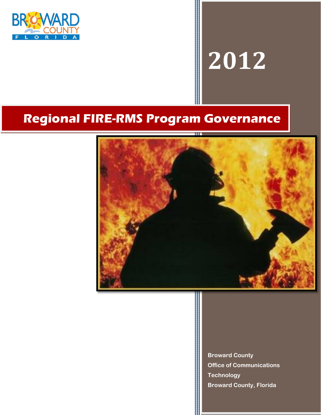

# **2012**

# **Regional FIRE-RMS Program Governance**



**Broward County Office of Communications Technology Broward County, Florida**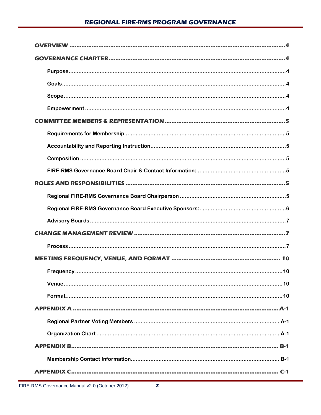۳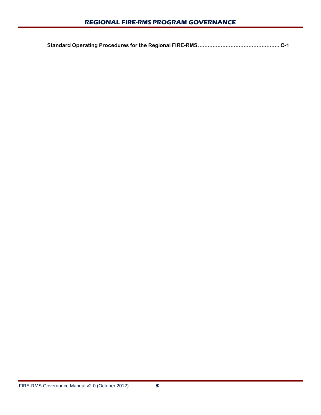|--|--|--|

۳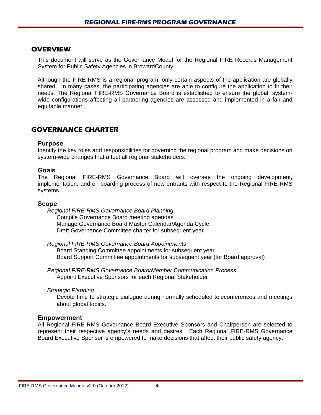#### **OVERVIEW**

This document will serve as the Governance Model for the Regional FIRE Records Management System for Public Safety Agencies in BrowardCounty.

Although the FIRE-RMS is a regional program, only certain aspects of the application are globally shared. In many cases, the participating agencies are able to configure the application to fit their needs. The Regional FIRE-RMS Governance Board is established to ensure the global, systemwide configurations affecting all partnering agencies are assessed and implemented in a fair and equitable manner.

#### **GOVERNANCE CHARTER**

#### **Purpose**

Identify the key roles and responsibilities for governing the regional program and make decisions on system-wide changes that affect all regional stakeholders.

#### **Goals**

The Regional FIRE-RMS Governance Board will oversee the ongoing development, implementation, and on-boarding process of new entrants with respect to the Regional FIRE-RMS systems.

#### **Scope**

*Regional FIRE-RMS Governance Board Planning*  Compile Governance Board meeting agendas Manage Governance Board Master Calendar/Agenda Cycle Draft Governance Committee charter for subsequent year

*Regional FIRE-RMS Governance Board Appointments*  Board Standing Committee appointments for subsequent year Board Support Committee appointments for subsequent year (for Board approval)

*Regional FIRE-RMS Governance Board/Member Communication Process*  Appoint Executive Sponsors for each Regional Stakeholder

*Strategic Planning* 

Devote time to strategic dialogue during normally scheduled teleconferences and meetings about global topics.

#### **Empowerment**

All Regional FIRE-RMS Governance Board Executive Sponsors and Chairperson are selected to represent their respective agency's needs and desires. Each Regional FIRE-RMS Governance Board Executive Sponsor is empowered to make decisions that affect their public safety agency.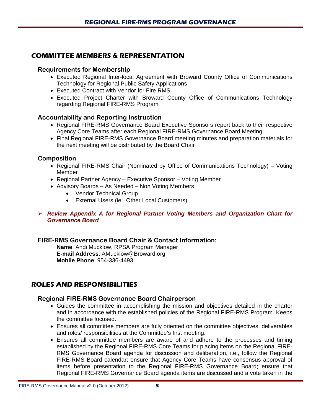#### **COMMITTEE MEMBERS & REPRESENTATION**

#### **Requirements for Membership**

- Executed Regional Inter-local Agreement with Broward County Office of Communications Technology for Regional Public Safety Applications
- Executed Contract with Vendor for Fire RMS
- Executed Project Charter with Broward County Office of Communications Technology regarding Regional FIRE-RMS Program

#### **Accountability and Reporting Instruction**

- Regional FIRE-RMS Governance Board Executive Sponsors report back to their respective Agency Core Teams after each Regional FIRE-RMS Governance Board Meeting
- Final Regional FIRE-RMS Governance Board meeting minutes and preparation materials for the next meeting will be distributed by the Board Chair

#### **Composition**

- Regional FIRE-RMS Chair (Nominated by Office of Communications Technology) Voting Member
- Regional Partner Agency Executive Sponsor Voting Member
- Advisory Boards As Needed Non Voting Members
	- Vendor Technical Group
	- External Users (ie: Other Local Customers)
- *Review Appendix A for Regional Partner Voting Members and Organization Chart for Governance Board*

#### **FIRE-RMS Governance Board Chair & Contact Information:**

**Name**: Andi Mucklow, RPSA Program Manager **E-mail Address**: AMucklow@Broward.org **Mobile Phone**: 954-336-4493

#### **ROLES AND RESPONSIBILITIES**

#### **Regional FIRE-RMS Governance Board Chairperson**

- Guides the committee in accomplishing the mission and objectives detailed in the charter and in accordance with the established policies of the Regional FIRE-RMS Program. Keeps the committee focused.
- Ensures all committee members are fully oriented on the committee objectives, deliverables and roles/ responsibilities at the Committee's first meeting.
- Ensures all committee members are aware of and adhere to the processes and timing established by the Regional FIRE-RMS Core Teams for placing items on the Regional FIRE-RMS Governance Board agenda for discussion and deliberation, i.e., follow the Regional FIRE-RMS Board calendar; ensure that Agency Core Teams have consensus approval of items before presentation to the Regional FIRE-RMS Governance Board; ensure that Regional FIRE-RMS Governance Board agenda items are discussed and a vote taken in the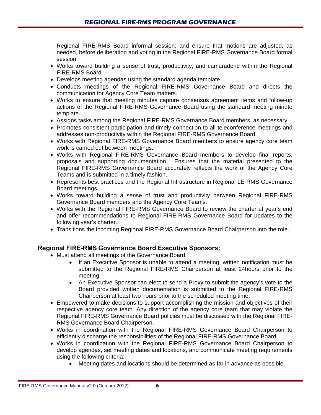Regional FIRE-RMS Board informal session; and ensure that motions are adjusted, as needed, before deliberation and voting in the Regional FIRE-RMS Governance Board formal session.

- Works toward building a sense of trust, productivity, and camaraderie within the Regional FIRE-RMS Board.
- Develops meeting agendas using the standard agenda template.
- Conducts meetings of the Regional FIRE-RMS Governance Board and directs the communication for Agency Core Team matters.
- Works to ensure that meeting minutes capture consensus agreement items and follow-up actions of the Regional FIRE-RMS Governance Board using the standard meeting minute template.
- Assigns tasks among the Regional FIRE-RMS Governance Board members, as necessary.
- Promotes consistent participation and timely connection to all teleconference meetings and addresses non-productivity within the Regional FIRE-RMS Governance Board.
- Works with Regional FIRE-RMS Governance Board members to ensure agency core team work is carried out between meetings.
- Works with Regional FIRE-RMS Governance Board members to develop final reports, proposals and supporting documentation. Ensures that the material presented to the Regional FIRE-RMS Governance Board accurately reflects the work of the Agency Core Teams and is submitted in a timely fashion.
- Represents best practices and the Regional Infrastructure in Regional LE-RMS Governance Board meetings.
- Works toward building a sense of trust and productivity between Regional FIRE-RMS Governance Board members and the Agency Core Teams.
- Works with the Regional FIRE-RMS Governance Board to review the charter at year's end and offer recommendations to Regional FIRE-RMS Governance Board for updates to the following year's charter.
- Transitions the incoming Regional FIRE-RMS Governance Board Chairperson into the role.

#### **Regional FIRE-RMS Governance Board Executive Sponsors:**

- Must attend all meetings of the Governance Board.
	- If an Executive Sponsor is unable to attend a meeting, written notification must be submitted to the Regional FIRE-RMS Chairperson at least 24hours prior to the meeting.
	- An Executive Sponsor can elect to send a Proxy to submit the agency's vote to the Board provided written documentation is submitted to the Regional FIRE-RMS Chairperson at least two hours prior to the scheduled meeting time.
- Empowered to make decisions to support accomplishing the mission and objectives of their respective agency core team. Any direction of the agency core team that may violate the Regional FIRE-RMS Governance Board policies must be discussed with the Regional FIRE-RMS Governance Board Chairperson.
- Works in coordination with the Regional FIRE-RMS Governance Board Chairperson to efficiently discharge the responsibilities of the Regional FIRE-RMS Governance Board.
- Works in coordination with the Regional FIRE-RMS Governance Board Chairperson to develop agendas, set meeting dates and locations, and communicate meeting requirements using the following criteria:
	- Meeting dates and locations should be determined as far in advance as possible.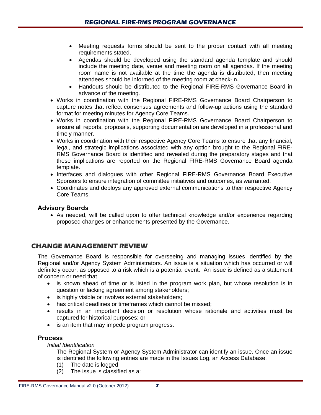- Meeting requests forms should be sent to the proper contact with all meeting requirements stated.
- Agendas should be developed using the standard agenda template and should include the meeting date, venue and meeting room on all agendas. If the meeting room name is not available at the time the agenda is distributed, then meeting attendees should be informed of the meeting room at check-in.
- Handouts should be distributed to the Regional FIRE-RMS Governance Board in advance of the meeting.
- Works in coordination with the Regional FIRE-RMS Governance Board Chairperson to capture notes that reflect consensus agreements and follow-up actions using the standard format for meeting minutes for Agency Core Teams.
- Works in coordination with the Regional FIRE-RMS Governance Board Chairperson to ensure all reports, proposals, supporting documentation are developed in a professional and timely manner.
- Works in coordination with their respective Agency Core Teams to ensure that any financial, legal, and strategic implications associated with any option brought to the Regional FIRE-RMS Governance Board is identified and revealed during the preparatory stages and that these implications are reported on the Regional FIRE-RMS Governance Board agenda template.
- Interfaces and dialogues with other Regional FIRE-RMS Governance Board Executive Sponsors to ensure integration of committee initiatives and outcomes, as warranted.
- Coordinates and deploys any approved external communications to their respective Agency Core Teams.

#### **Advisory Boards**

• As needed, will be called upon to offer technical knowledge and/or experience regarding proposed changes or enhancements presented by the Governance.

#### **CHANGE MANAGEMENT REVIEW**

The Governance Board is responsible for overseeing and managing issues identified by the Regional and/or Agency System Administrators. An issue is a situation which has occurred or will definitely occur, as opposed to a risk which is a potential event. An issue is defined as a statement of concern or need that

- is known ahead of time or is listed in the program work plan, but whose resolution is in question or lacking agreement among stakeholders;
- is highly visible or involves external stakeholders;
- has critical deadlines or timeframes which cannot be missed;
- results in an important decision or resolution whose rationale and activities must be captured for historical purposes; or
- is an item that may impede program progress.

#### **Process**

*Initial Identification*

The Regional System or Agency System Administrator can identify an issue. Once an issue is identified the following entries are made in the Issues Log, an Access Database.

- (1) The date is logged<br>(2) The issue is classif
- The issue is classified as a: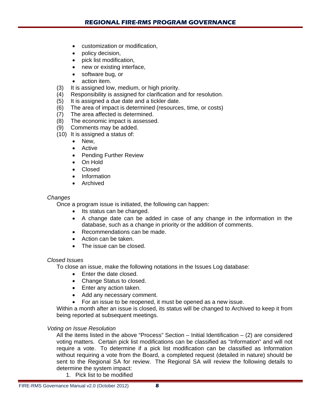- customization or modification,
- policy decision,
- pick list modification,
- new or existing interface,
- software bug, or
- action item.
- (3) It is assigned low, medium, or high priority.
- (4) Responsibility is assigned for clarification and for resolution.
- (5) It is assigned a due date and a tickler date.
- (6) The area of impact is determined (resources, time, or costs)
- (7) The area affected is determined.
- (8) The economic impact is assessed.
- (9) Comments may be added.
- (10) It is assigned a status of:
	- New,
	- Active
	- Pending Further Review
	- On Hold
	- Closed
	- Information
	- Archived

#### *Changes*

Once a program issue is initiated, the following can happen:

- Its status can be changed.
- A change date can be added in case of any change in the information in the database, such as a change in priority or the addition of comments.
- Recommendations can be made.
- Action can be taken.
- The issue can be closed.

#### *Closed Issues*

To close an issue, make the following notations in the Issues Log database:

- Enter the date closed.
- Change Status to closed.
- Enter any action taken.
- Add any necessary comment.
- For an issue to be reopened, it must be opened as a new issue.

Within a month after an issue is closed, its status will be changed to Archived to keep it from being reported at subsequent meetings.

#### *Voting on Issue Resolution*

All the items listed in the above "Process" Section  $-$  Initial Identification  $-$  (2) are considered voting matters. Certain pick list modifications can be classified as "Information" and will not require a vote. To determine if a pick list modification can be classified as Information without requiring a vote from the Board, a completed request (detailed in nature) should be sent to the Regional SA for review. The Regional SA will review the following details to determine the system impact:

1. Pick list to be modified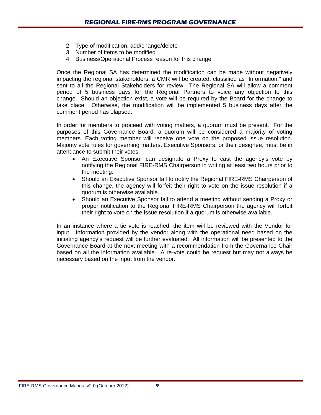- 2. Type of modification: add/change/delete
- 3. Number of items to be modified
- 4. Business/Operational Process reason for this change

Once the Regional SA has determined the modification can be made without negatively impacting the regional stakeholders, a CMR will be created, classified as "Information," and sent to all the Regional Stakeholders for review. The Regional SA will allow a comment period of 5 business days for the Regional Partners to voice any objection to this change. Should an objection exist, a vote will be required by the Board for the change to take place. Otherwise, the modification will be implemented 5 business days after the comment period has elapsed.

In order for members to proceed with voting matters, a quorum must be present. For the purposes of this Governance Board, a quorum will be considered a majority of voting members. Each voting member will receive one vote on the proposed issue resolution. Majority vote rules for governing matters. Executive Sponsors, or their designee, must be in attendance to submit their votes.

- An Executive Sponsor can designate a Proxy to cast the agency's vote by notifying the Regional FIRE-RMS Chairperson in writing at least two hours prior to the meeting.
- Should an Executive Sponsor fail to notify the Regional FIRE-RMS Chairperson of this change, the agency will forfeit their right to vote on the issue resolution if a quorum is otherwise available.
- Should an Executive Sponsor fail to attend a meeting without sending a Proxy or proper notification to the Regional FIRE-RMS Chairperson the agency will forfeit their right to vote on the issue resolution if a quorum is otherwise available.

In an instance where a tie vote is reached, the item will be reviewed with the Vendor for input. Information provided by the vendor along with the operational need based on the initiating agency's request will be further evaluated. All information will be presented to the Governance Board at the next meeting with a recommendation from the Governance Chair based on all the information available. A re-vote could be request but may not always be necessary based on the input from the vendor.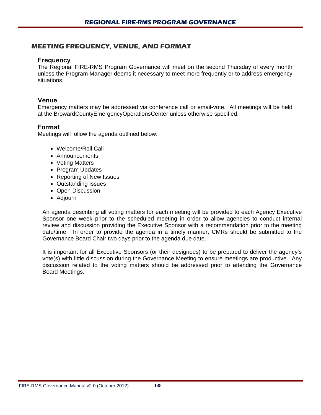#### **MEETING FREQUENCY, VENUE, AND FORMAT**

#### **Frequency**

The Regional FIRE-RMS Program Governance will meet on the second Thursday of every month unless the Program Manager deems it necessary to meet more frequently or to address emergency situations.

#### **Venue**

Emergency matters may be addressed via conference call or email-vote. All meetings will be held at the BrowardCountyEmergencyOperationsCenter unless otherwise specified.

#### **Format**

Meetings will follow the agenda outlined below:

- Welcome/Roll Call
- Announcements
- Voting Matters
- Program Updates
- Reporting of New Issues
- Outstanding Issues
- Open Discussion
- Adjourn

An agenda describing all voting matters for each meeting will be provided to each Agency Executive Sponsor one week prior to the scheduled meeting in order to allow agencies to conduct internal review and discussion providing the Executive Sponsor with a recommendation prior to the meeting date/time. In order to provide the agenda in a timely manner, CMRs should be submitted to the Governance Board Chair two days prior to the agenda due date.

It is important for all Executive Sponsors (or their designees) to be prepared to deliver the agency's vote(s) with little discussion during the Governance Meeting to ensure meetings are productive. Any discussion related to the voting matters should be addressed prior to attending the Governance Board Meetings.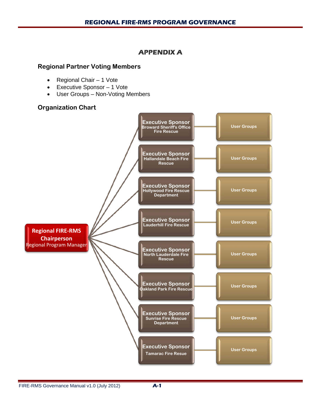#### **APPENDIX A**

#### **Regional Partner Voting Members**

- Regional Chair 1 Vote
- Executive Sponsor 1 Vote
- User Groups Non-Voting Members

#### **Organization Chart**

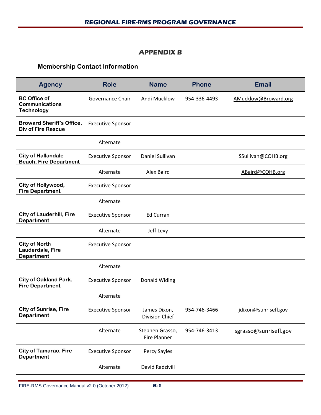#### **APPENDIX B**

### **Membership Contact Information**

|                          | <b>Name</b>                            | <b>Phone</b> | <b>Email</b>          |
|--------------------------|----------------------------------------|--------------|-----------------------|
| Governance Chair         | Andi Mucklow                           | 954-336-4493 | AMucklow@Broward.org  |
| <b>Executive Sponsor</b> |                                        |              |                       |
| Alternate                |                                        |              |                       |
| <b>Executive Sponsor</b> | Daniel Sullivan                        |              | SSullivan@COHB.org    |
| Alternate                | Alex Baird                             |              | ABaird@COHB.org       |
| <b>Executive Sponsor</b> |                                        |              |                       |
| Alternate                |                                        |              |                       |
| <b>Executive Sponsor</b> | <b>Ed Curran</b>                       |              |                       |
| Alternate                | Jeff Levy                              |              |                       |
| <b>Executive Sponsor</b> |                                        |              |                       |
| Alternate                |                                        |              |                       |
| <b>Executive Sponsor</b> | Donald Widing                          |              |                       |
| Alternate                |                                        |              |                       |
| <b>Executive Sponsor</b> | James Dixon,<br>Division Chief         | 954-746-3466 | jdixon@sunrisefl.gov  |
| Alternate                | Stephen Grasso,<br><b>Fire Planner</b> | 954-746-3413 | sgrasso@sunrisefl.gov |
| <b>Executive Sponsor</b> | Percy Sayles                           |              |                       |
| Alternate                | David Radzivill                        |              |                       |
|                          |                                        |              |                       |

۰